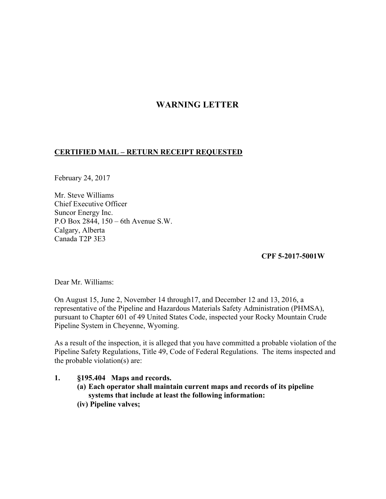## **WARNING LETTER**

## **CERTIFIED MAIL – RETURN RECEIPT REQUESTED**

February 24, 2017

Mr. Steve Williams Chief Executive Officer Suncor Energy Inc. P.O Box 2844, 150 – 6th Avenue S.W. Calgary, Alberta Canada T2P 3E3

**CPF 5-2017-5001W** 

Dear Mr. Williams:

On August 15, June 2, November 14 through17, and December 12 and 13, 2016, a representative of the Pipeline and Hazardous Materials Safety Administration (PHMSA), pursuant to Chapter 601 of 49 United States Code, inspected your Rocky Mountain Crude Pipeline System in Cheyenne, Wyoming.

As a result of the inspection, it is alleged that you have committed a probable violation of the Pipeline Safety Regulations, Title 49, Code of Federal Regulations. The items inspected and the probable violation(s) are:

- **1. §195.404 Maps and records.** 
	- **(a) Each operator shall maintain current maps and records of its pipeline systems that include at least the following information:**
	- **(iv) Pipeline valves;**